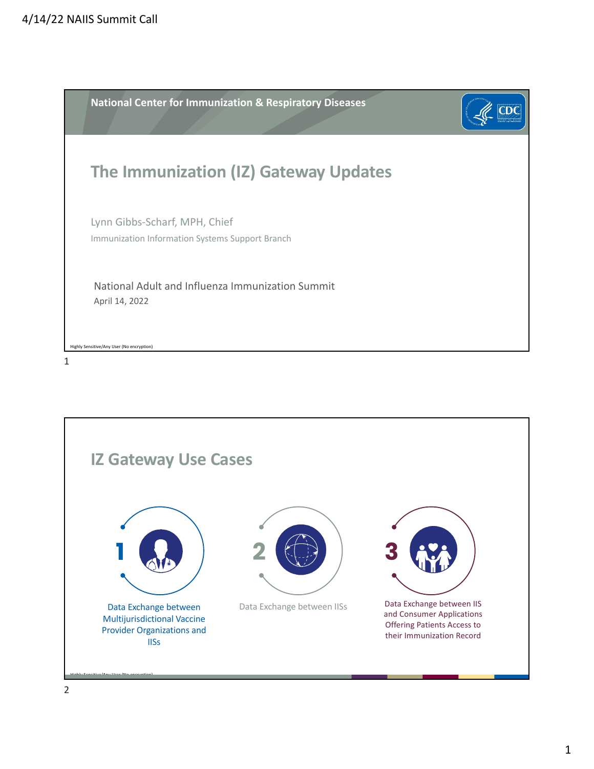

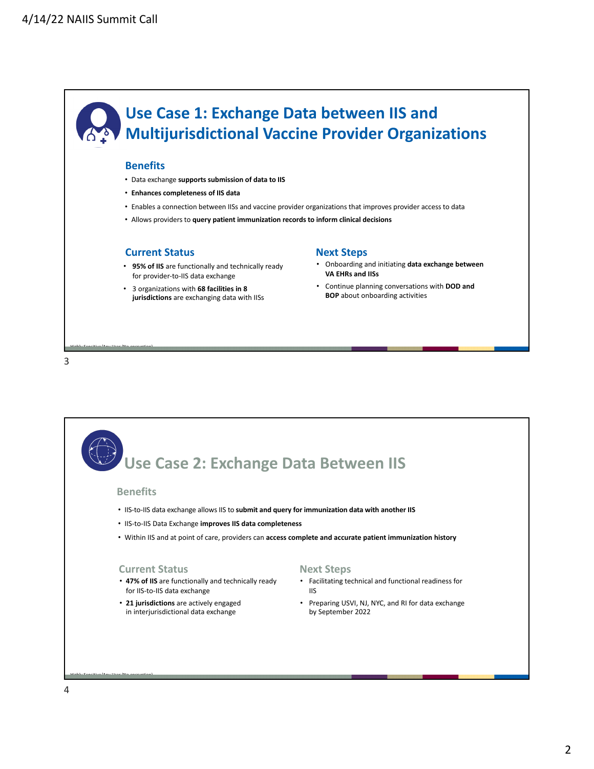

## **Benefits**

- Data exchange **supports submission of data to IIS**
- **Enhances completeness of IIS data**
- Enables a connection between IISs and vaccine provider organizations that improves provider access to data
- Allows providers to **query patient immunization records to inform clinical decisions**

## **Current Status**

- **95% of IIS** are functionally and technically ready for provider-to-IIS data exchange
- 3 organizations with **68 facilities in 8 jurisdictions** are exchanging data with IISs

## **Next Steps**

- Onboarding and initiating **data exchange between VA EHRs and IISs**
- Continue planning conversations with **DOD and BOP** about onboarding activities

3

Highly Sensitive/Any User (No encryption)

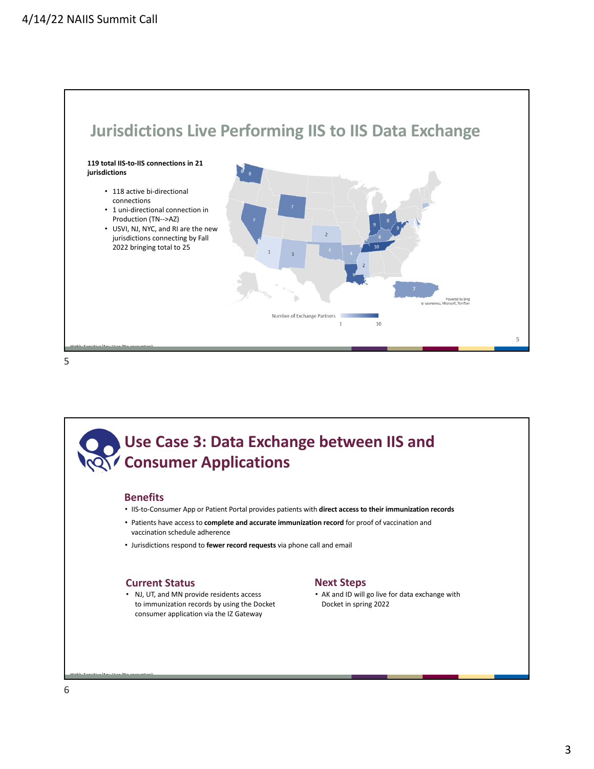

5